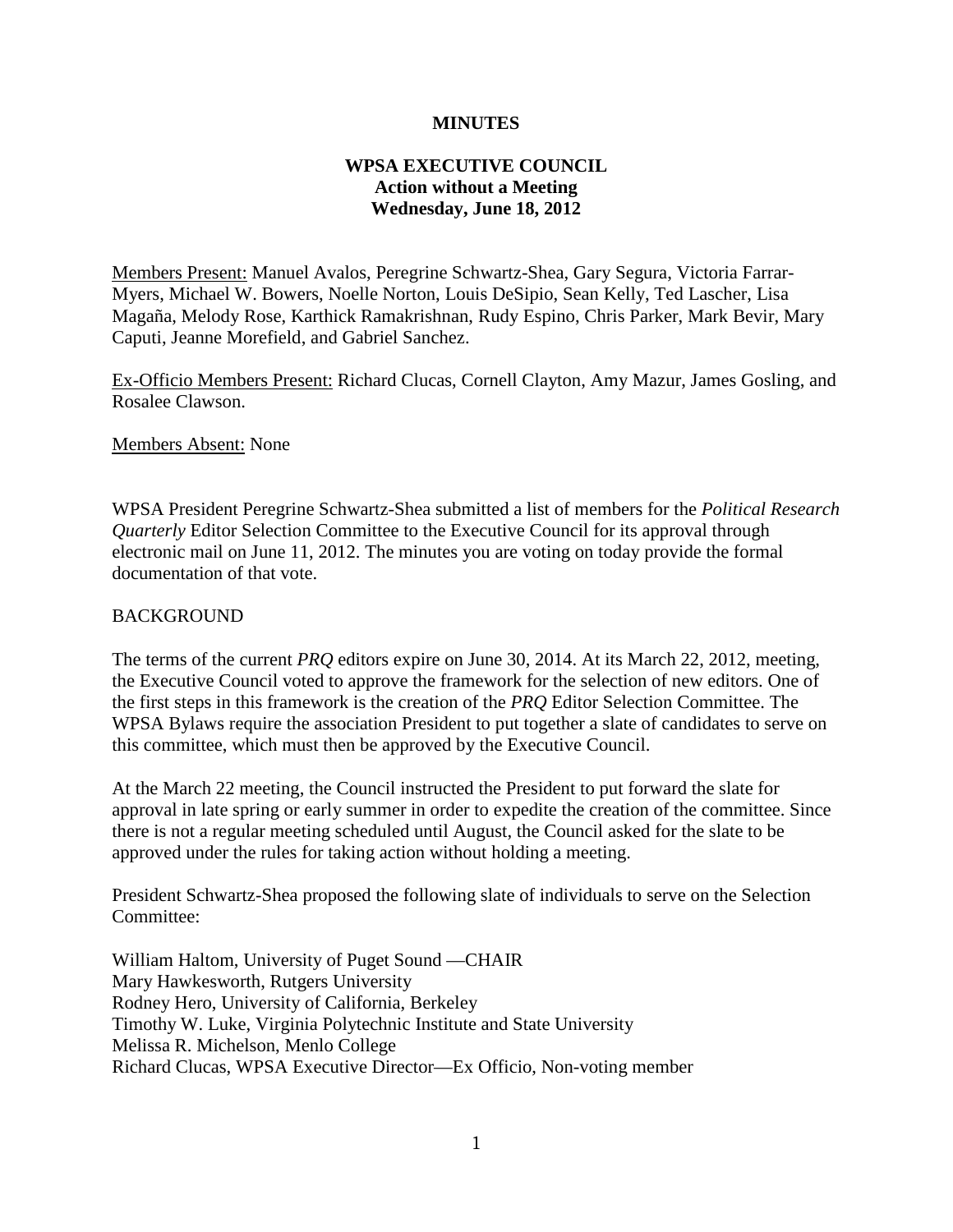## **MINUTES**

## **WPSA EXECUTIVE COUNCIL Action without a Meeting Wednesday, June 18, 2012**

Members Present: Manuel Avalos, Peregrine Schwartz-Shea, Gary Segura, Victoria Farrar-Myers, Michael W. Bowers, Noelle Norton, Louis DeSipio, Sean Kelly, Ted Lascher, Lisa Magaña, Melody Rose, Karthick Ramakrishnan, Rudy Espino, Chris Parker, Mark Bevir, Mary Caputi, Jeanne Morefield, and Gabriel Sanchez.

Ex-Officio Members Present: Richard Clucas, Cornell Clayton, Amy Mazur, James Gosling, and Rosalee Clawson.

Members Absent: None

WPSA President Peregrine Schwartz-Shea submitted a list of members for the *Political Research Quarterly* Editor Selection Committee to the Executive Council for its approval through electronic mail on June 11, 2012. The minutes you are voting on today provide the formal documentation of that vote.

## BACKGROUND

The terms of the current *PRQ* editors expire on June 30, 2014. At its March 22, 2012, meeting, the Executive Council voted to approve the framework for the selection of new editors. One of the first steps in this framework is the creation of the *PRQ* Editor Selection Committee. The WPSA Bylaws require the association President to put together a slate of candidates to serve on this committee, which must then be approved by the Executive Council.

At the March 22 meeting, the Council instructed the President to put forward the slate for approval in late spring or early summer in order to expedite the creation of the committee. Since there is not a regular meeting scheduled until August, the Council asked for the slate to be approved under the rules for taking action without holding a meeting.

President Schwartz-Shea proposed the following slate of individuals to serve on the Selection Committee:

William Haltom, University of Puget Sound —CHAIR Mary Hawkesworth, Rutgers University Rodney Hero, University of California, Berkeley Timothy W. Luke, Virginia Polytechnic Institute and State University Melissa R. Michelson, Menlo College Richard Clucas, WPSA Executive Director—Ex Officio, Non-voting member